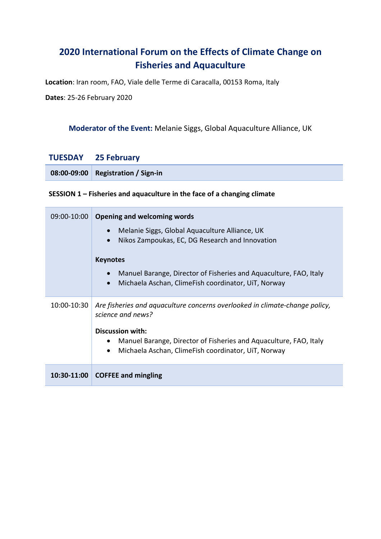# **2020 International Forum on the Effects of Climate Change on Fisheries and Aquaculture**

**Location**: Iran room, FAO, Viale delle Terme di Caracalla, 00153 Roma, Italy

**Dates**: 25-26 February 2020

### **Moderator of the Event:** Melanie Siggs, Global Aquaculture Alliance, UK

#### **TUESDAY 25 February**

| 08:00-09:00 Registration / Sign-in |
|------------------------------------|
|------------------------------------|

### **SESSION 1 – Fisheries and aquaculture in the face of a changing climate**

| 09:00-10:00 | <b>Opening and welcoming words</b>                                                                                                    |
|-------------|---------------------------------------------------------------------------------------------------------------------------------------|
|             | Melanie Siggs, Global Aquaculture Alliance, UK<br>Nikos Zampoukas, EC, DG Research and Innovation<br>$\bullet$                        |
|             | <b>Keynotes</b>                                                                                                                       |
|             | Manuel Barange, Director of Fisheries and Aquaculture, FAO, Italy<br>Michaela Aschan, ClimeFish coordinator, UiT, Norway<br>$\bullet$ |
| 10:00-10:30 | Are fisheries and aquaculture concerns overlooked in climate-change policy,<br>science and news?                                      |
|             | <b>Discussion with:</b><br>Manuel Barange, Director of Fisheries and Aquaculture, FAO, Italy<br>$\bullet$                             |
|             | Michaela Aschan, ClimeFish coordinator, UiT, Norway<br>$\bullet$                                                                      |
| 10:30-11:00 | <b>COFFEE and mingling</b>                                                                                                            |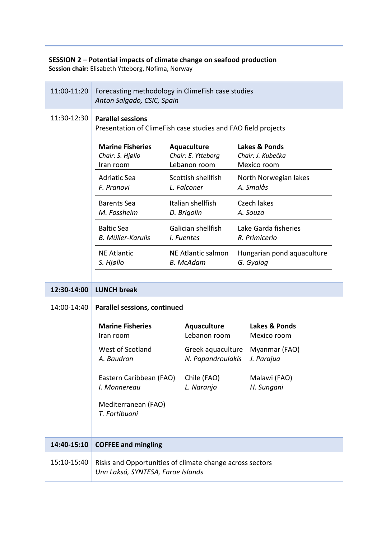#### **SESSION 2 – Potential impacts of climate change on seafood production**

**Session chair:** Elisabeth Ytteborg, Nofima, Norway

| 11:00-11:20 | Forecasting methodology in ClimeFish case studies<br>Anton Salgado, CSIC, Spain               |  |                                                   |  |                                                   |
|-------------|-----------------------------------------------------------------------------------------------|--|---------------------------------------------------|--|---------------------------------------------------|
| 11:30-12:30 | <b>Parallel sessions</b><br>Presentation of ClimeFish case studies and FAO field projects     |  |                                                   |  |                                                   |
|             | <b>Marine Fisheries</b><br>Chair: S. Hjøllo<br>Iran room                                      |  | Aquaculture<br>Chair: E. Ytteborg<br>Lebanon room |  | Lakes & Ponds<br>Chair: J. Kubečka<br>Mexico room |
|             | <b>Adriatic Sea</b><br>F. Pranovi                                                             |  | Scottish shellfish<br>L. Falconer                 |  | North Norwegian lakes<br>A. Smalås                |
|             | <b>Barents Sea</b><br>M. Fossheim                                                             |  | Italian shellfish<br>D. Brigolin                  |  | Czech lakes<br>A. Souza                           |
|             | <b>Baltic Sea</b><br><b>B. Müller-Karulis</b>                                                 |  | Galician shellfish<br>I. Fuentes                  |  | Lake Garda fisheries<br>R. Primicerio             |
|             | <b>NE Atlantic</b><br>S. Hjøllo                                                               |  | NE Atlantic salmon<br><b>B.</b> McAdam            |  | Hungarian pond aquaculture<br>G. Gyalog           |
| 12:30-14:00 | <b>LUNCH break</b>                                                                            |  |                                                   |  |                                                   |
| 14:00-14:40 | <b>Parallel sessions, continued</b>                                                           |  |                                                   |  |                                                   |
|             | <b>Marine Fisheries</b><br>Iran room                                                          |  | <b>Aquaculture</b><br>Lebanon room                |  | Lakes & Ponds<br>Mexico room                      |
|             | West of Scotland<br>A. Baudron                                                                |  | Greek aquaculture<br>N. Papandroulakis            |  | Myanmar (FAO)<br>J. Parajua                       |
|             | Eastern Caribbean (FAO)<br>I. Monnereau                                                       |  | Chile (FAO)<br>L. Naranjo                         |  | Malawi (FAO)<br>H. Sungani                        |
|             | Mediterranean (FAO)<br>T. Fortibuoni                                                          |  |                                                   |  |                                                   |
| 14:40-15:10 | <b>COFFEE and mingling</b>                                                                    |  |                                                   |  |                                                   |
| 15:10-15:40 | Risks and Opportunities of climate change across sectors<br>Unn Laksá, SYNTESA, Faroe Islands |  |                                                   |  |                                                   |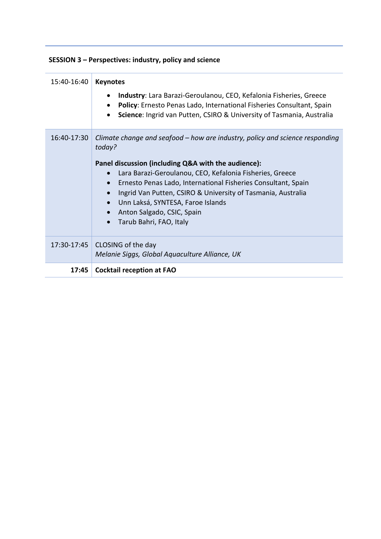## **SESSION 3 – Perspectives: industry, policy and science**

| 15:40-16:40 | <b>Keynotes</b><br>Industry: Lara Barazi-Geroulanou, CEO, Kefalonia Fisheries, Greece<br>Policy: Ernesto Penas Lado, International Fisheries Consultant, Spain<br>Science: Ingrid van Putten, CSIRO & University of Tasmania, Australia                                                                                                                                                                                                                                         |
|-------------|---------------------------------------------------------------------------------------------------------------------------------------------------------------------------------------------------------------------------------------------------------------------------------------------------------------------------------------------------------------------------------------------------------------------------------------------------------------------------------|
| 16:40-17:30 | Climate change and seafood – how are industry, policy and science responding<br>today?<br>Panel discussion (including Q&A with the audience):<br>Lara Barazi-Geroulanou, CEO, Kefalonia Fisheries, Greece<br>Ernesto Penas Lado, International Fisheries Consultant, Spain<br>$\bullet$<br>Ingrid Van Putten, CSIRO & University of Tasmania, Australia<br>Unn Laksá, SYNTESA, Faroe Islands<br>$\bullet$<br>Anton Salgado, CSIC, Spain<br>Tarub Bahri, FAO, Italy<br>$\bullet$ |
|             | 17:30-17:45 CLOSING of the day<br>Melanie Siggs, Global Aquaculture Alliance, UK                                                                                                                                                                                                                                                                                                                                                                                                |
| 17:45       | <b>Cocktail reception at FAO</b>                                                                                                                                                                                                                                                                                                                                                                                                                                                |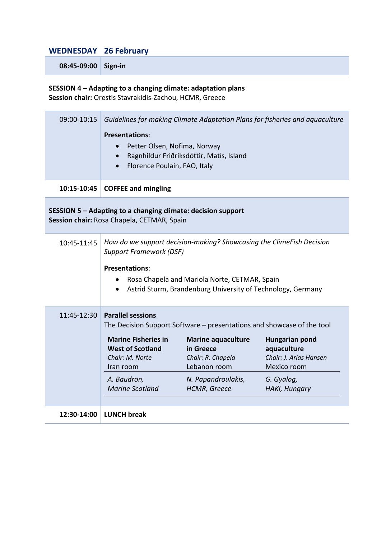## **WEDNESDAY 26 February**

**08:45-09:00 Sign-in**

**SESSION 4 – Adapting to a changing climate: adaptation plans Session chair:** Orestis Stavrakidis-Zachou, HCMR, Greece

| 09:00-10:15                                                                                                | Guidelines for making Climate Adaptation Plans for fisheries and aquaculture<br><b>Presentations:</b><br>Petter Olsen, Nofima, Norway<br>$\bullet$<br>Ragnhildur Friðriksdóttir, Matís, Island<br>$\bullet$<br>Florence Poulain, FAO, Italy     |                                                                                                                                                                                             |                                                                                                       |  |
|------------------------------------------------------------------------------------------------------------|-------------------------------------------------------------------------------------------------------------------------------------------------------------------------------------------------------------------------------------------------|---------------------------------------------------------------------------------------------------------------------------------------------------------------------------------------------|-------------------------------------------------------------------------------------------------------|--|
| 10:15-10:45                                                                                                | <b>COFFEE and mingling</b>                                                                                                                                                                                                                      |                                                                                                                                                                                             |                                                                                                       |  |
| SESSION 5 - Adapting to a changing climate: decision support<br>Session chair: Rosa Chapela, CETMAR, Spain |                                                                                                                                                                                                                                                 |                                                                                                                                                                                             |                                                                                                       |  |
| 10:45-11:45                                                                                                | How do we support decision-making? Showcasing the ClimeFish Decision<br><b>Support Framework (DSF)</b><br><b>Presentations:</b><br>Rosa Chapela and Mariola Norte, CETMAR, Spain<br>Astrid Sturm, Brandenburg University of Technology, Germany |                                                                                                                                                                                             |                                                                                                       |  |
| 11:45-12:30                                                                                                | <b>Parallel sessions</b><br><b>Marine Fisheries in</b><br><b>West of Scotland</b><br>Chair: M. Norte<br>Iran room<br>A. Baudron,<br><b>Marine Scotland</b>                                                                                      | The Decision Support Software – presentations and showcase of the tool<br><b>Marine aquaculture</b><br>in Greece<br>Chair: R. Chapela<br>Lebanon room<br>N. Papandroulakis,<br>HCMR, Greece | Hungarian pond<br>aquaculture<br>Chair: J. Arias Hansen<br>Mexico room<br>G. Gyalog,<br>HAKI, Hungary |  |
| 12:30-14:00                                                                                                | <b>LUNCH break</b>                                                                                                                                                                                                                              |                                                                                                                                                                                             |                                                                                                       |  |